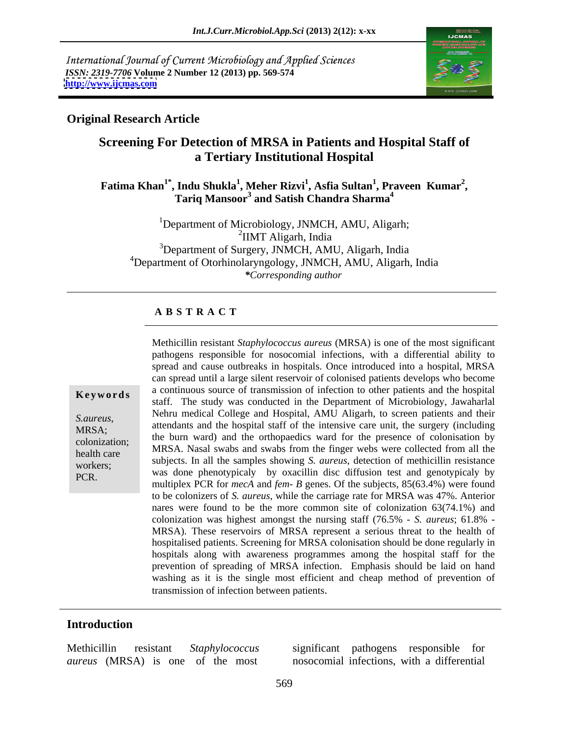International Journal of Current Microbiology and Applied Sciences *ISSN: 2319-7706* **Volume 2 Number 12 (2013) pp. 569-574 <http://www.ijcmas.com>**



### **Original Research Article**

# **Screening For Detection of MRSA in Patients and Hospital Staff of a Tertiary Institutional Hospital**

**Fatima Khan1\* , Indu Shukla<sup>1</sup> , Meher Rizvi<sup>1</sup> , Asfia Sultan<sup>1</sup> , Tariq Mansoor3 , Praveen Kumar<sup>2</sup> Tariq Mansoor<sup>3</sup> and Satish Chandra Sharma<sup>4</sup>** 

<sup>1</sup>Department of Microbiology, JNMCH, AMU, Aligarh; <sup>2</sup>IIMT Aligarh, India <sup>3</sup>Department of Surgery, JNMCH, AMU, Aligarh, India 4Department of Otorhinolaryngology, JNMCH, AMU, Aligarh, India *\*Corresponding author* 

### **A B S T R A C T**

**Keywords** a continuous source of transmission of infection to other patients and the hospital staff. The study was conducted in the Department of Microbiology, Jawaharlal *S.aureus*,<br>
MRSA;<br>
attendants and the hospital staff of the intensive care unit, the surgery (including<br>
the homograph and the orthogonalists much for the approximate the surgery of  $\text{colonization};$  the burn ward) and the orthopaedics ward for the presence of colonisation by colonization; health care this was all swaps and swaps from the linger webs were conected from an the subjects. In all the samples showing *S. aureus*, detection of methicillin resistance<br>workers; Methicillin resistant *Staphylococcus aureus* (MRSA) is one of the most significant<br>pathogens responsible for nosocomial infections, with a differential ability to<br>spread and cause outbreaks in hospital. Once introduced pathogens responsible for nosocomial infections, with a differential ability to spread and cause outbreaks in hospitals. Once introduced into a hospital, MRSA can spread until a large silent reservoir of colonised patients develops who become a continuous source of transmission of infection to other patients and thehospital Nehru medical College and Hospital, AMU Aligarh, to screen patients and their MRSA. Nasal swabs and swabs from the finger webs were collected from all the was done phenotypicaly by oxacillin disc diffusion test and genotypicaly by multiplex PCR for *mecA* and *fem- B* genes. Of the subjects, 85(63.4%) were found to be colonizers of *S. aureus*, while the carriage rate forMRSA was 47%. Anterior nares were found to be the more common site of colonization 63(74.1%) and colonization was highest amongst the nursing staff (76.5% - *S. aureus*; 61.8% - MRSA). These reservoirs of MRSA represent a serious threat to the health of hospitalised patients. Screening for MRSA colonisation should be done regularly in hospitals along with awareness programmes among the hospital staff for the prevention of spreading of MRSA infection. Emphasis should be laid on hand washing as it is the single most efficient and cheap method of prevention of transmission of infection between patients.

### **Introduction**

Methicillin resistant *Staphylococcus aureus* (MRSA) is one of the most

significant pathogens responsible for nosocomial infections, with a differential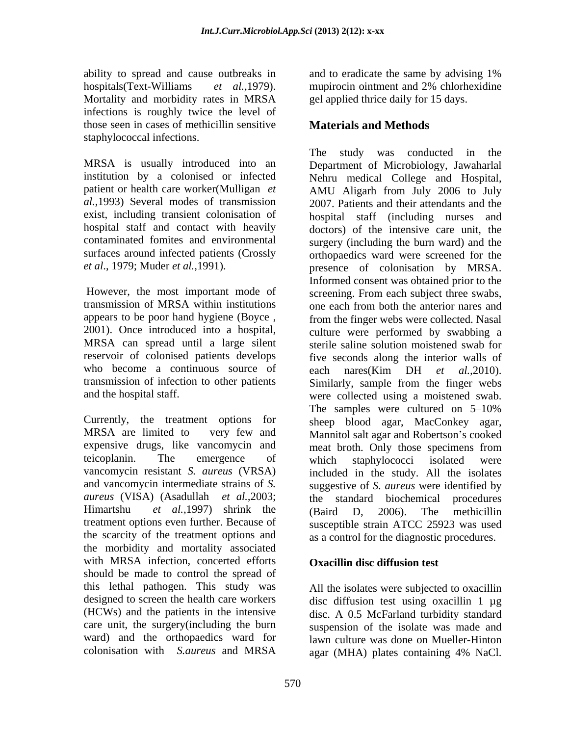ability to spread and cause outbreaks in and to eradicate the same by advising 1% hospitals(Text-Williams *et al.,*1979). Mortality and morbidity rates in MRSA infections is roughly twice the level of those seen in cases of methicillin sensitive **Materials and Methods** staphylococcal infections.

institution by a colonised or infected

transmission of MRSA within institutions appears to be poor hand hygiene (Boyce , who become a continuous source of each nares( $\overrightarrow{Kim}$  DH *et al.*, 2010).

expensive drugs, like vancomycin and meat broth. Only those specimens from teicoplanin. The emergence of which staphylococci isolated were *aureus* (VISA) (Asadullah *et al.,*2003; the scarcity of the treatment options and as a control for the diagnostic procedures. the morbidity and mortality associated with MRSA infection, concerted efforts should be made to control the spread of this lethal pathogen. This study was All the isolates were subjected to oxacillin designed to screen the health care workers (HCWs) and the patients in the intensive disc. A 0.5 McFarland turbidity standard care unit, the surgery(including the burn suspension of the isolate was made and ward) and the orthopaedics ward for lawn culture was done on Mueller-Hinton

and to eradicate the same by advising 1% mupirocin ointment and 2% chlorhexidine gel applied thrice daily for 15 days.

### **Materials and Methods**

MRSA is usually introduced into an Department of Microbiology, Jawaharlal patient or health care worker(Mulligan *et*  AMU Aligarh from July 2006 to July *al.,*1993) Several modes of transmission 2007. Patients and their attendants and the exist, including transient colonisation of hospital staff (including nurses and hospital staff and contact with heavily doctors) of the intensive care unit, the contaminated fomites and environmental surgery (including the burn ward) and the surfaces around infected patients (Crossly orthopaedics ward were screened for the *et al*., 1979; Muder *et al.,*1991). presence of colonisation by MRSA. However, the most important mode of screening. From each subject three swabs, 2001). Once introduced into a hospital, culture were performed by swabbing a MRSA can spread until a large silent sterile saline solution moistened swab for reservoir of colonised patients develops five seconds along the interior walls of transmission of infection to other patients Similarly, sample from the finger webs and the hospital staff. were collected using a moistened swab. Currently, the treatment options for sheep blood agar, MacConkey agar, MRSA are limited to very few and Mannitol salt agar and Robertson's cooked vancomycin resistant *S. aureus* (VRSA) included in the study. All the isolates and vancomycin intermediate strains of *S.*  suggestive of *S. aureus* were identified by Himartshu *et al.,*1997) shrink the treatment options even further. Because of susceptible strain ATCC 25923 was used The study was conducted in the Nehru medical College and Hospital, Informed consent was obtained prior to the one each from both the anterior nares and from the finger webs were collected. Nasal each nares(Kim DH *et al.,*2010). The samples were cultured on  $5-10\%$ meat broth. Only those specimens from which staphylococci isolated were the standard biochemical (Baird D, 2006). The methicillin

### **Oxacillin disc diffusion test**

colonisation with *S.aureus* and MRSA All the isolates were subjected to oxacillin disc diffusion test using oxacillin 1 µg agar (MHA) plates containing 4% NaCl.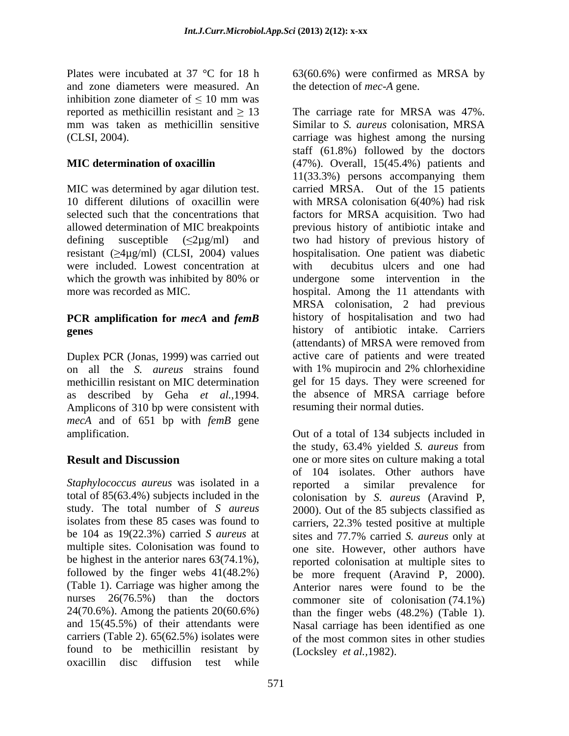Plates were incubated at 37 °C for 18 h 63(60.6%) were confirmed as MRSA by and zone diameters were measured. An inhibition zone diameter of  $\leq 10$  mm was mm was taken as methicillin sensitive Similar to S. *aureus* colonisation. MRSA

MIC was determined by agar dilution test. were included. Lowest concentration at

## **PCR amplification for** *mecA* **and** *femB*

Duplex PCR (Jonas, 1999) was carried out on all the *S. aureus* strains found with 1% mupirocin and 2% chlorhexidine as described by Geha *et al.,*1994. Amplicons of 310 bp were consistent with *mecA* and of 651 bp with *femB* gene

*Staphylococcus aureus* was isolated in a similar prevalence for total of 85(63.4%) subjects included in the colonisation by *S. aureus* (Aravind P, study. The total number of *S aureus* 2000). Out of the 85 subjects classified as isolates from these 85 cases was found to carriers, 22.3% tested positive at multiple be 104 as 19(22.3%) carried *S aureus* at multiple sites. Colonisation was found to one site. However, other authors have be highest in the anterior nares 63(74.1%), reported colonisation at multiple sites to followed by the finger webs  $41(48.2%)$  be more frequent (Aravind P, 2000). (Table 1). Carriage was higher among the nurses 26(76.5%) than the doctors 24(70.6%). Among the patients 20(60.6%) than the finger webs (48.2%) (Table 1). and 15(45.5%) of their attendants were carriers (Table 2). 65(62.5%) isolates were of the most common sites in other studies found to be methicillin resistant by oxacillin disc diffusion test while

the detection of *mec-A* gene.

reported as methicillin resistant and  $\geq 13$  The carriage rate for MRSA was 47%. (CLSI, 2004). carriage was highest among the nursing **MIC determination of oxacillin** (47%). Overall, 15(45.4%) patients and 10 different dilutions of oxacillin were with MRSA colonisation 6(40%) had risk selected such that the concentrations that factors for MRSA acquisition. Two had allowed determination of MIC breakpoints previous history of antibiotic intake and defining susceptible  $(\leq 2\mu g/ml)$  and two had history of previous history of resistant  $(\geq 4\mu g/ml)$  (CLSI, 2004) values hospitalisation. One patient was diabetic which the growth was inhibited by 80% or and undergone some intervention in the more was recorded as MIC. hospital. Among the 11 attendants with **genes** history of antibiotic intake. Carriers methicillin resistant on MIC determination gel for 15 days. They were screened for Similar to *S. aureus* colonisation, MRSA staff (61.8%) followed by the doctors 11(33.3%) persons accompanying them carried MRSA. Out of the 15 patients decubitus ulcers and one had undergone some intervention in the MRSA colonisation, 2 had previous history of hospitalisation and two had (attendants) of MRSA were removed from active care of patients and were treated with 1% mupirocin and 2% chlorhexidine the absence of MRSA carriage before resuming their normal duties.

amplification. Out of a total of 134 subjects included in **Result and Discussion** one or more sites on culture making a total the study, 63.4% yielded *S. aureus* from of 104 isolates. Other authors have reported a similar prevalence carriers, 22.3% tested positive at multiple sites and 77.7% carried *S. aureus* only at be more frequent (Aravind P, 2000). Anterior nares were found to be the commoner site of colonisation (74.1%) Nasal carriage has been identified as one (Locksley *et al.,*1982).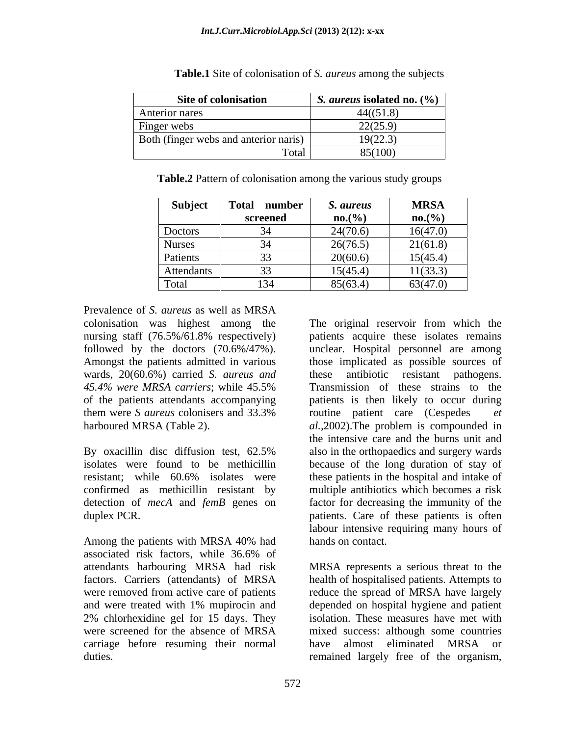| Site of colonisation                  | <i>S. aureus</i> isolated no. $(\%)$ |
|---------------------------------------|--------------------------------------|
| Anterior nares                        | 44((51.8)                            |
| Finger webs                           | 22(25.9)                             |
| Both (finger webs and anterior naris) | 19(22.3)                             |
| Fotal                                 | 85(100)                              |

**Table.1** Site of colonisation of *S. aureus* among the subjects

| Table<br>$\mathcal{L}$ Pattern of color<br>ation among the various study or<br>groups<br>lonisation |  |
|-----------------------------------------------------------------------------------------------------|--|
|                                                                                                     |  |

| Subject       | <b>Total</b><br>number | S. aureus | <b>MRSA</b> |
|---------------|------------------------|-----------|-------------|
|               | screened               | no.(%)    | no.(%)      |
| Doctors       | 34<br>◡᠇               | 24(70.6)  | 16(47.0)    |
| <b>Nurses</b> | 34<br>◡᠇               | 26(76.5)  | 21(61.8)    |
| Patients      | 33                     | 20(60.6)  | 15(45.4)    |
| Attendants    | 33<br><u>ل ل</u>       | 15(45.4)  | 11(33.3)    |
| Total         | 134                    | 85(63.4)  | 63(47.0)    |

Prevalence of *S. aureus* as well as MRSA nursing staff (76.5%/61.8% respectively) wards, 20(60.6%) carried *S. aureus and* these antibiotic resistant pathogens.

confirmed as methicillin resistant by

Among the patients with MRSA 40% had hands on contact. associated risk factors, while 36.6% of attendants harbouring MRSA had risk MRSA represents a serious threat to the factors. Carriers (attendants) of MRSA health of hospitalised patients. Attempts to were removed from active care of patients and reduce the spread of MRSA have largely and were treated with 1% mupirocin and depended on hospital hygiene and patient 2% chlorhexidine gel for 15 days. They isolation. These measureshave met with were screened for the absence of MRSA mixed success: although some countries carriage before resuming their normal have almost eliminated MRSA or duties. remained largely free of the organism,

colonisation was highest among the The original reservoir from which the followed by the doctors (70.6%/47%). unclear. Hospital personnel are among Amongst the patients admitted in various those implicated as possible sources of *45.4% were MRSA carriers*; while 45.5% Transmission of these strains to the of the patients attendants accompanying patients is then likely to occur during them were *S aureus* colonisers and 33.3% harboured MRSA (Table 2). *al.,*2002).The problem is compounded in By oxacillin disc diffusion test, 62.5% also in the orthopaedics and surgery wards isolates were found to be methicillin because of the long duration of stay of resistant; while 60.6% isolates were these patients in the hospital and intake of detection of *mecA* and *femB* genes on factor for decreasing the immunity of the duplex PCR. patients. Care of these patients is often patients acquire these isolates remains these antibiotic resistant pathogens. routine patient care (Cespedes *et*  the intensive care and the burns unit and also in the orthopaedics and surgery wards multiple antibiotics which becomes a risk labour intensive requiring many hours of hands on contact.

> mixed success: although some countries have almost eliminated MRSA or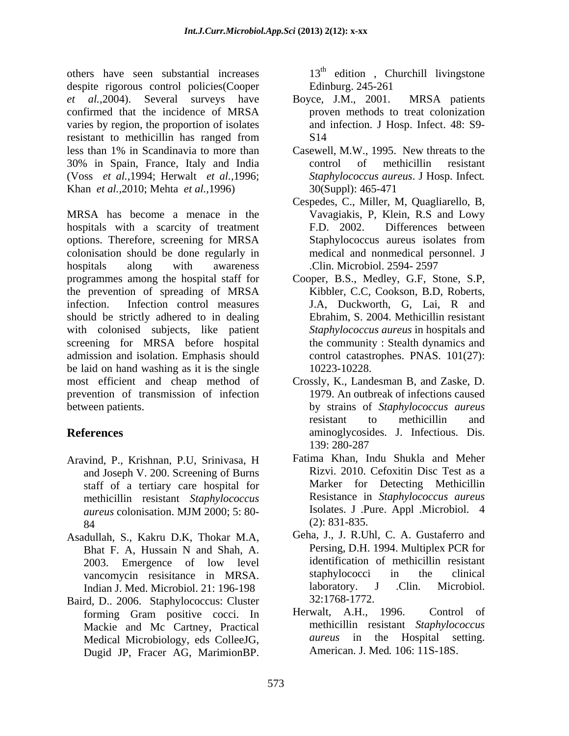others have seen substantial increases  $13<sup>th</sup>$  edition, Churchill livingstone despite rigorous control policies(Cooper Edinburg. 245-261 *et al.,*2004). Several surveys have confirmed that the incidence of MRSA varies by region, the proportion of isolates resistant to methicillin has ranged from less than 1% in Scandinavia to more than Casewell, M.W., 1995. New threats to the 30% in Spain, France, Italy and India (Voss *et al.,*1994; Herwalt *et al.,*1996; Khan *et al.,*2010; Mehta *et al.,*1996)

MRSA has become a menace in the hospitals with a scarcity of treatment F.D. 2002. Differences between options. Therefore, screening for MRSA colonisation should be done regularly in medical and nonmedical personnel. J hospitals along with awareness .Clin. Microbiol. 2594-2597 hospitals along with awareness .Clin. Microbiol. 2594- 2597<br>programmes among the hospital staff for Cooper, B.S., Medley, G.F, Stone, S.P, the prevention of spreading of MRSA infection. Infection control measures J.A, Duckworth, G, Lai, R and should be strictly adhered to in dealing with colonised subjects, like patient screening for MRSA before hospital admission and isolation. Emphasis should be laid on hand washing as it is the single  $10223-10228$ . most efficient and cheap method of Crossly, K., Landesman B, and Zaske, D. prevention of transmission of infection between patients. by strains of *Staphylococcus aureus*

- Aravind, P., Krishnan, P.U, Srinivasa, H and Joseph V. 200. Screening of Burns staff of a tertiary care hospital for methicillin resistant *Staphylococcus aureus* colonisation. MJM 2000; 5: 80-<br>84 (2): 831-835.
- Asadullah, S., Kakru D.K, Thokar M.A, Indian J. Med. Microbiol. 21: 196-198 laboratory. J<br>rd D. 2006 Stanbylococcus: Cluster 32:1768-1772.
- Baird, D.. 2006. Staphylococcus: Cluster 32:1768-1772.<br>
forming Gram positive cocci In Herwalt, A.H., 1996. Control of forming Gram positive cocci. In Medical Microbiology, eds ColleeJG, Dugid JP, Fracer AG, MarimionBP.

Edinburg. 245-261

- Boyce, J.M., 2001. MRSA patients proven methods to treat colonization and infection. J Hosp. Infect. 48: S9- S<sub>14</sub>
- control of methicillin resistant *Staphylococcus aureus*. J Hosp. Infect*.* 30(Suppl): 465-471
- Cespedes, C., Miller, M, Quagliarello, B, Vavagiakis, P, Klein, R.S and Lowy F.D. 2002. Differences between Staphylococcus aureus isolates from
- Kibbler, C.C, Cookson, B.D, Roberts, Ebrahim, S. 2004. Methicillin resistant *Staphylococcus aureus* in hospitals and the community : Stealth dynamics and control catastrophes. PNAS. 101(27): 10223-10228.
- **References** aminoglycosides. J. Infectious. Dis. 1979. An outbreak of infections caused resistant to methicillin and 139: 280-287
	- $84$  (2): 831-835. Fatima Khan, Indu Shukla and Meher Rizvi. 2010. Cefoxitin Disc Test as a Marker for Detecting Methicillin Resistance in *Staphylococcus aureus* Isolates. J .Pure. Appl .Microbiol. 4 (2): 831-835.
	- Bhat F. A, Hussain N and Shah, A. Persing, D.H. 1994. Multiplex PCR for 2003. Emergence of low level identification of methicillin resistant vancomycin resistance in MRSA staphylococci in the clinical vancomycin resisitance in MRSA. Staphylococci in the clinical<br>Indian I Med Microbiol 21:196-198 laboratory. J Clin. Microbiol. Geha, J., J. R.Uhl, C. A. Gustaferro and Persing, D.H. 1994. Multiplex PCR for identification of methicillin resistant staphylococci in the clinical laboratory. J .Clin. Microbiol. 32:1768-1772.
	- Mackie and Mc Cartney, Practical and methicillin resistant Staphylococcus<br>Medical Microbiology eds Collee IG aureus in the Hospital setting. Herwalt,  $A.H.,$  1996. methicillin resistant *Staphylococcus aureus* in the Hospital setting. American. J. Med*.* 106: 11S-18S.